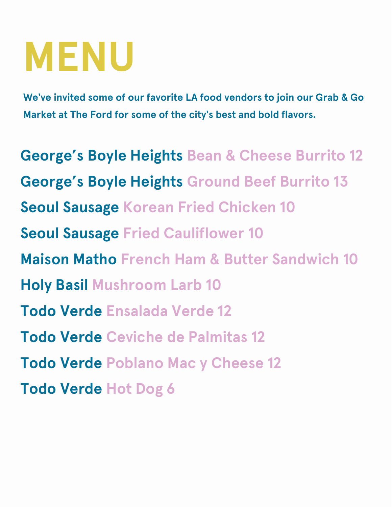## **MENU**

**We've invited some of our favorite LA food vendors to join our Grab & Go Market at The Ford for some of the city's best and bold flavors.**

**George's Boyle Heights Bean & Cheese Burrito 12 George's Boyle Heights Ground Beef Burrito 13 Seoul Sausage Korean Fried Chicken 10 Seoul Sausage Fried Cauliflower 10 Maison Matho French Ham & Butter Sandwich 10 Holy Basil Mushroom Larb 10 Todo Verde Ensalada Verde 12 Todo Verde Ceviche de Palmitas 12 Todo Verde Poblano Mac y Cheese 12 Todo Verde Hot Dog 6**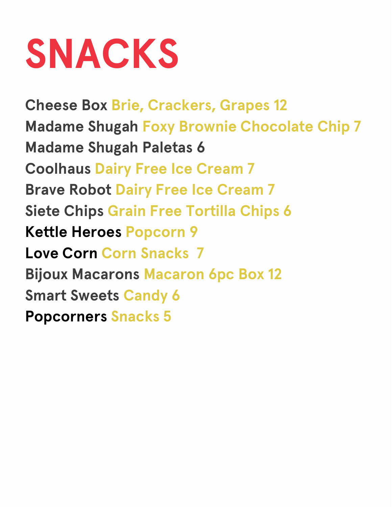## **SNACKS**

**Cheese Box Brie, Crackers, Grapes 12 Madame Shugah Foxy Brownie Chocolate Chip 7 Madame Shugah Paletas 6 Coolhaus Dairy Free Ice Cream 7 Brave Robot Dairy Free Ice Cream 7 Siete Chips Grain Free Tortilla Chips 6 Kettle Heroes Popcorn 9 Love Corn Corn Snacks 7 Bijoux Macarons Macaron 6pc Box 12 Smart Sweets Candy 6 Popcorners Snacks 5**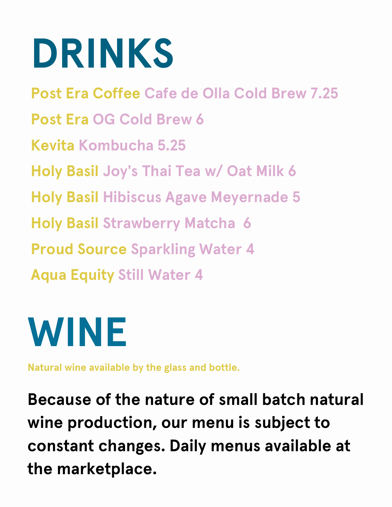# **DRINKS**

**Post Era Coffee Cafe de Olla Cold Brew 7.25 Post Era OG Cold Brew 6 Kevita Kombucha 5.25 Holy Basil Joy's Thai Tea w/ Oat Milk 6 Holy Basil Hibiscus Agave Meyernade 5 Holy Basil Strawberry Matcha 6 Proud Source Sparkling Water 4 Aqua Equity Still Water 4**



**Natural wine available by the glass and bottle.**

**Because of the nature of small batch natural wine production, our menu is subject to constant changes. Daily menus available at the marketplace.**